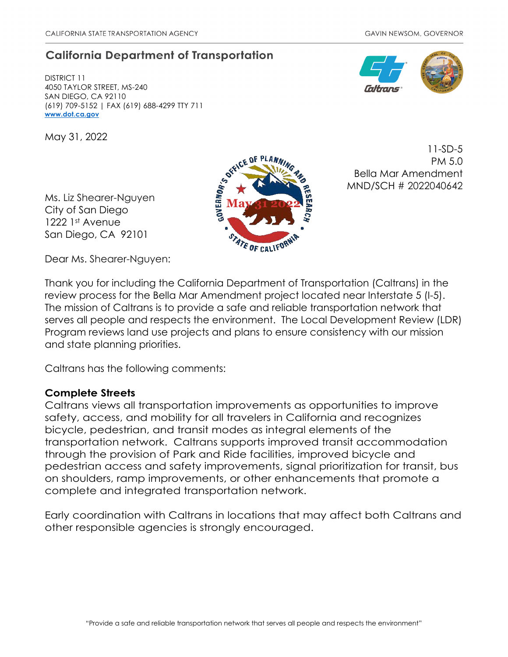## **California Department of Transportation**

DISTRICT 11 4050 TAYLOR STREET, MS-240 SAN DIEGO, CA 92110 (619) 709-5152 | FAX (619) 688-4299 TTY 711 **www.dot.ca.gov** 

May 31, 2022

Ms. Liz Shearer-Nguyen City of San Diego 1222 1st Avenue San Diego, CA 92101



11-SD-5 PM 5.0 Bella Mar Amendment MND/SCH # 2022040642

Giltrans

Dear Ms. Shearer-Nguyen:

Thank you for including the California Department of Transportation (Caltrans) in the review process for the Bella Mar Amendment project located near Interstate 5 (I-5). The mission of Caltrans is to provide a safe and reliable transportation network that serves all people and respects the environment. The Local Development Review (LDR) Program reviews land use projects and plans to ensure consistency with our mission and state planning priorities.

Caltrans has the following comments:

## **Complete Streets**

Caltrans views all transportation improvements as opportunities to improve safety, access, and mobility for all travelers in California and recognizes bicycle, pedestrian, and transit modes as integral elements of the transportation network. Caltrans supports improved transit accommodation through the provision of Park and Ride facilities, improved bicycle and pedestrian access and safety improvements, signal prioritization for transit, bus on shoulders, ramp improvements, or other enhancements that promote a complete and integrated transportation network.

Early coordination with Caltrans in locations that may affect both Caltrans and other responsible agencies is strongly encouraged.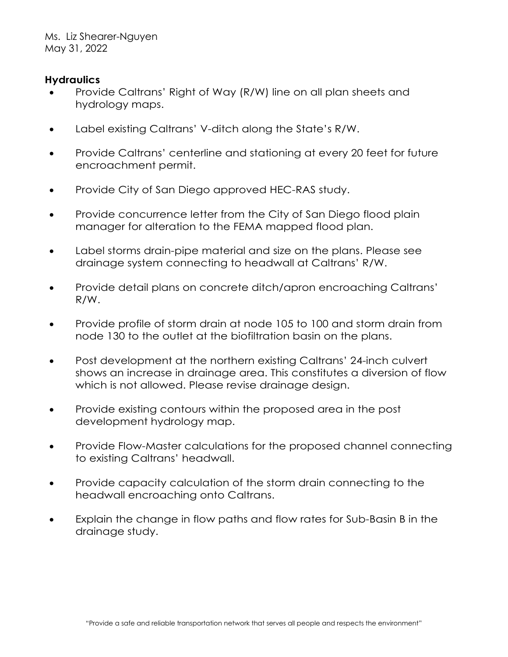Ms. Liz Shearer-Nguyen May 31, 2022

## **Hydraulics**

- Provide Caltrans' Right of Way (R/W) line on all plan sheets and hydrology maps.
- Label existing Caltrans' V-ditch along the State's R/W.
- Provide Caltrans' centerline and stationing at every 20 feet for future encroachment permit.
- Provide City of San Diego approved HEC-RAS study.
- Provide concurrence letter from the City of San Diego flood plain manager for alteration to the FEMA mapped flood plan.
- Label storms drain-pipe material and size on the plans. Please see drainage system connecting to headwall at Caltrans' R/W.
- Provide detail plans on concrete ditch/apron encroaching Caltrans' R/W.
- Provide profile of storm drain at node 105 to 100 and storm drain from node 130 to the outlet at the biofiltration basin on the plans.
- Post development at the northern existing Caltrans' 24-inch culvert shows an increase in drainage area. This constitutes a diversion of flow which is not allowed. Please revise drainage design.
- Provide existing contours within the proposed area in the post development hydrology map.
- Provide Flow-Master calculations for the proposed channel connecting to existing Caltrans' headwall.
- Provide capacity calculation of the storm drain connecting to the headwall encroaching onto Caltrans.
- Explain the change in flow paths and flow rates for Sub-Basin B in the drainage study.